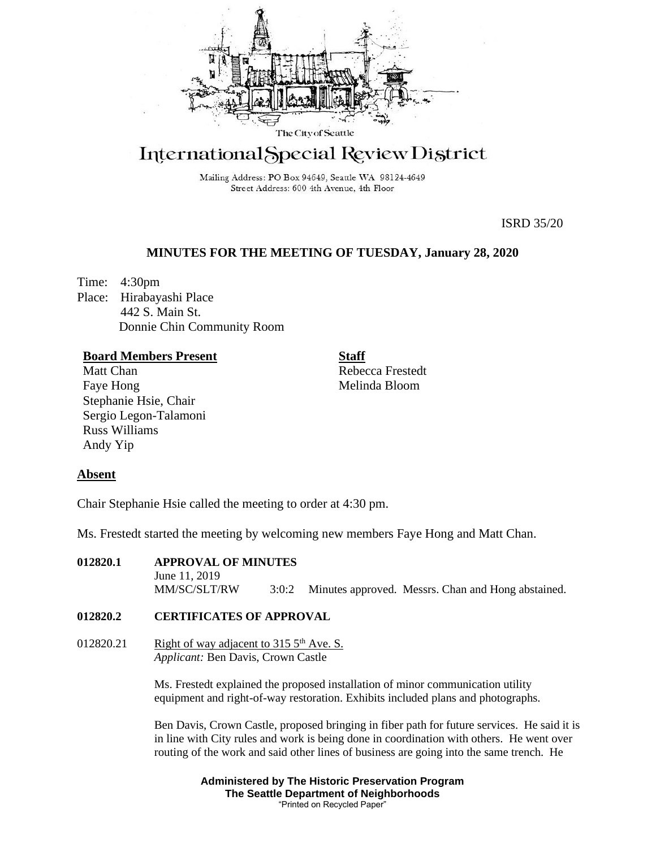

# International Special Review District

Mailing Address: PO Box 94649, Seattle WA 98124-4649 Street Address: 600 4th Avenue, 4th Floor

ISRD 35/20

# **MINUTES FOR THE MEETING OF TUESDAY, January 28, 2020**

Time: 4:30pm Place: Hirabayashi Place 442 S. Main St. Donnie Chin Community Room

# **Board Members Present**

Matt Chan Faye Hong Stephanie Hsie, Chair Sergio Legon-Talamoni Russ Williams Andy Yip

**Staff**

Rebecca Frestedt Melinda Bloom

# **Absent**

Chair Stephanie Hsie called the meeting to order at 4:30 pm.

Ms. Frestedt started the meeting by welcoming new members Faye Hong and Matt Chan.

**012820.1 APPROVAL OF MINUTES** June 11, 2019 MM/SC/SLT/RW 3:0:2 Minutes approved. Messrs. Chan and Hong abstained.

# **012820.2 CERTIFICATES OF APPROVAL**

012820.21 Right of way adjacent to  $3155<sup>th</sup>$  Ave. S. *Applicant:* Ben Davis, Crown Castle

> Ms. Frestedt explained the proposed installation of minor communication utility equipment and right-of-way restoration. Exhibits included plans and photographs.

Ben Davis, Crown Castle, proposed bringing in fiber path for future services. He said it is in line with City rules and work is being done in coordination with others. He went over routing of the work and said other lines of business are going into the same trench. He

> **Administered by The Historic Preservation Program The Seattle Department of Neighborhoods** "Printed on Recycled Paper"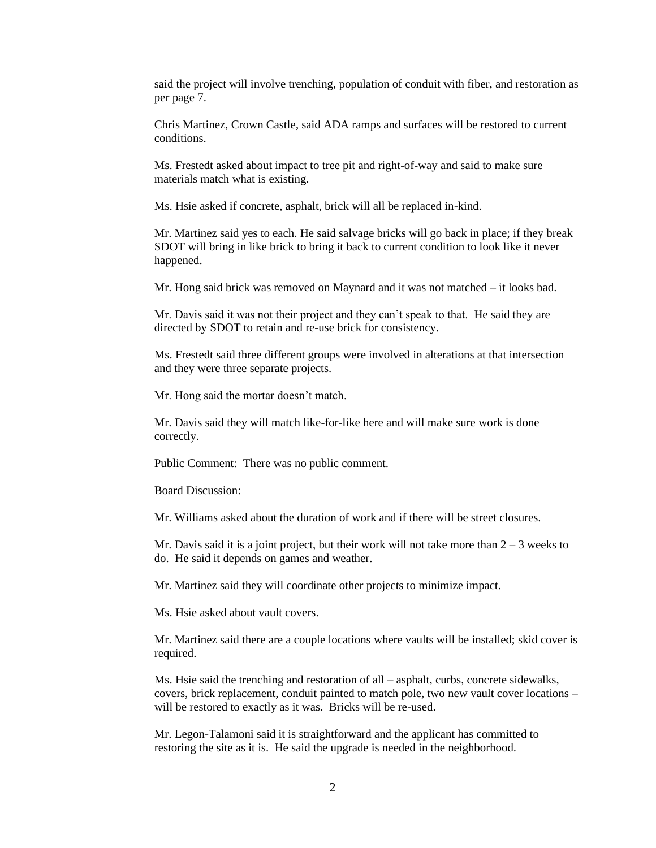said the project will involve trenching, population of conduit with fiber, and restoration as per page 7.

Chris Martinez, Crown Castle, said ADA ramps and surfaces will be restored to current conditions.

Ms. Frestedt asked about impact to tree pit and right-of-way and said to make sure materials match what is existing.

Ms. Hsie asked if concrete, asphalt, brick will all be replaced in-kind.

Mr. Martinez said yes to each. He said salvage bricks will go back in place; if they break SDOT will bring in like brick to bring it back to current condition to look like it never happened.

Mr. Hong said brick was removed on Maynard and it was not matched – it looks bad.

Mr. Davis said it was not their project and they can't speak to that. He said they are directed by SDOT to retain and re-use brick for consistency.

Ms. Frestedt said three different groups were involved in alterations at that intersection and they were three separate projects.

Mr. Hong said the mortar doesn't match.

Mr. Davis said they will match like-for-like here and will make sure work is done correctly.

Public Comment: There was no public comment.

Board Discussion:

Mr. Williams asked about the duration of work and if there will be street closures.

Mr. Davis said it is a joint project, but their work will not take more than  $2 - 3$  weeks to do. He said it depends on games and weather.

Mr. Martinez said they will coordinate other projects to minimize impact.

Ms. Hsie asked about vault covers.

Mr. Martinez said there are a couple locations where vaults will be installed; skid cover is required.

Ms. Hsie said the trenching and restoration of all – asphalt, curbs, concrete sidewalks, covers, brick replacement, conduit painted to match pole, two new vault cover locations – will be restored to exactly as it was. Bricks will be re-used.

Mr. Legon-Talamoni said it is straightforward and the applicant has committed to restoring the site as it is. He said the upgrade is needed in the neighborhood.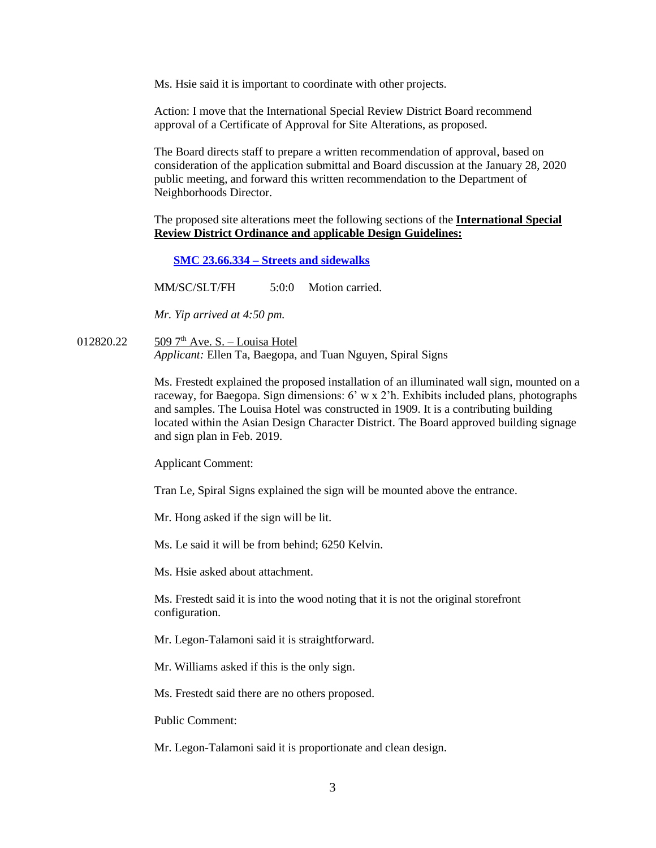Ms. Hsie said it is important to coordinate with other projects.

Action: I move that the International Special Review District Board recommend approval of a Certificate of Approval for Site Alterations, as proposed.

The Board directs staff to prepare a written recommendation of approval, based on consideration of the application submittal and Board discussion at the January 28, 2020 public meeting, and forward this written recommendation to the Department of Neighborhoods Director.

The proposed site alterations meet the following sections of the **International Special Review District Ordinance and** a**pplicable Design Guidelines:**

**SMC 23.66.334 – [Streets and sidewalks](https://library.municode.com/wa/seattle/codes/municipal_code?nodeId=TIT23LAUSCO_SUBTITLE_IIILAUSRE_CH23.66SPREDI_SUBCHAPTER_IIIINSPREDI_23.66.334STSI)**

MM/SC/SLT/FH 5:0:0 Motion carried.

*Mr. Yip arrived at 4:50 pm.*

012820.22  $\frac{509 \, 7^{\text{th}} \text{Ave. S.} - \text{Louisa Hotel}}{509 \, 7^{\text{th}} \text{Ave.} - \text{S.}}$ *Applicant:* Ellen Ta, Baegopa, and Tuan Nguyen, Spiral Signs

> Ms. Frestedt explained the proposed installation of an illuminated wall sign, mounted on a raceway, for Baegopa. Sign dimensions: 6' w x 2'h. Exhibits included plans, photographs and samples. The Louisa Hotel was constructed in 1909. It is a contributing building located within the Asian Design Character District. The Board approved building signage and sign plan in Feb. 2019.

Applicant Comment:

Tran Le, Spiral Signs explained the sign will be mounted above the entrance.

Mr. Hong asked if the sign will be lit.

Ms. Le said it will be from behind; 6250 Kelvin.

Ms. Hsie asked about attachment.

Ms. Frestedt said it is into the wood noting that it is not the original storefront configuration.

Mr. Legon-Talamoni said it is straightforward.

Mr. Williams asked if this is the only sign.

Ms. Frestedt said there are no others proposed.

Public Comment:

Mr. Legon-Talamoni said it is proportionate and clean design.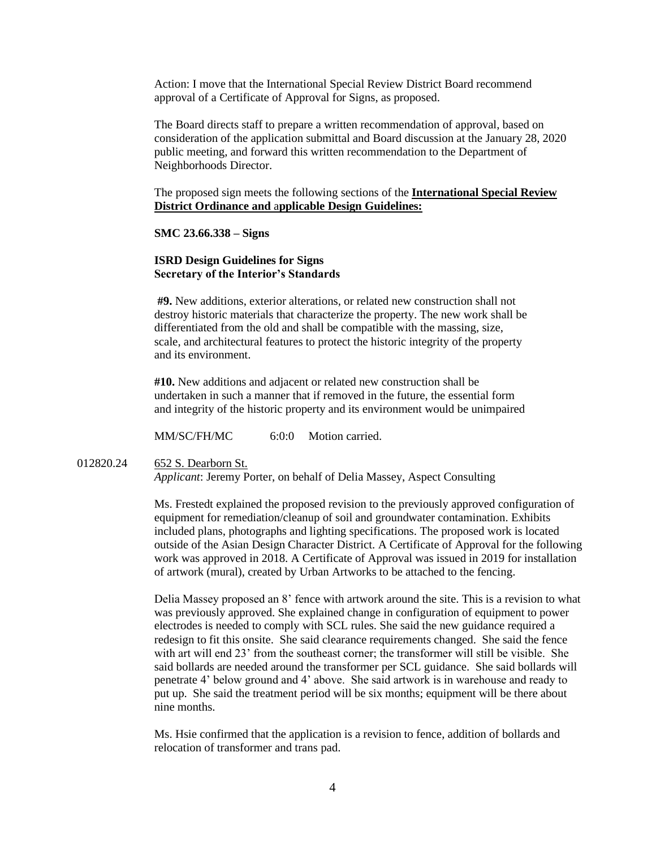Action: I move that the International Special Review District Board recommend approval of a Certificate of Approval for Signs, as proposed.

The Board directs staff to prepare a written recommendation of approval, based on consideration of the application submittal and Board discussion at the January 28, 2020 public meeting, and forward this written recommendation to the Department of Neighborhoods Director.

The proposed sign meets the following sections of the **International Special Review District Ordinance and** a**pplicable Design Guidelines:**

#### **SMC 23.66.338 – Signs**

## **ISRD Design Guidelines for Signs Secretary of the Interior's Standards**

**#9.** New additions, exterior alterations, or related new construction shall not destroy historic materials that characterize the property. The new work shall be differentiated from the old and shall be compatible with the massing, size, scale, and architectural features to protect the historic integrity of the property and its environment.

**#10.** New additions and adjacent or related new construction shall be undertaken in such a manner that if removed in the future, the essential form and integrity of the historic property and its environment would be unimpaired

MM/SC/FH/MC 6:0:0 Motion carried.

012820.24 652 S. Dearborn St.

*Applicant*: Jeremy Porter, on behalf of Delia Massey, Aspect Consulting

Ms. Frestedt explained the proposed revision to the previously approved configuration of equipment for remediation/cleanup of soil and groundwater contamination. Exhibits included plans, photographs and lighting specifications. The proposed work is located outside of the Asian Design Character District. A Certificate of Approval for the following work was approved in 2018. A Certificate of Approval was issued in 2019 for installation of artwork (mural), created by Urban Artworks to be attached to the fencing.

Delia Massey proposed an 8' fence with artwork around the site. This is a revision to what was previously approved. She explained change in configuration of equipment to power electrodes is needed to comply with SCL rules. She said the new guidance required a redesign to fit this onsite. She said clearance requirements changed. She said the fence with art will end 23' from the southeast corner; the transformer will still be visible. She said bollards are needed around the transformer per SCL guidance. She said bollards will penetrate 4' below ground and 4' above. She said artwork is in warehouse and ready to put up. She said the treatment period will be six months; equipment will be there about nine months.

Ms. Hsie confirmed that the application is a revision to fence, addition of bollards and relocation of transformer and trans pad.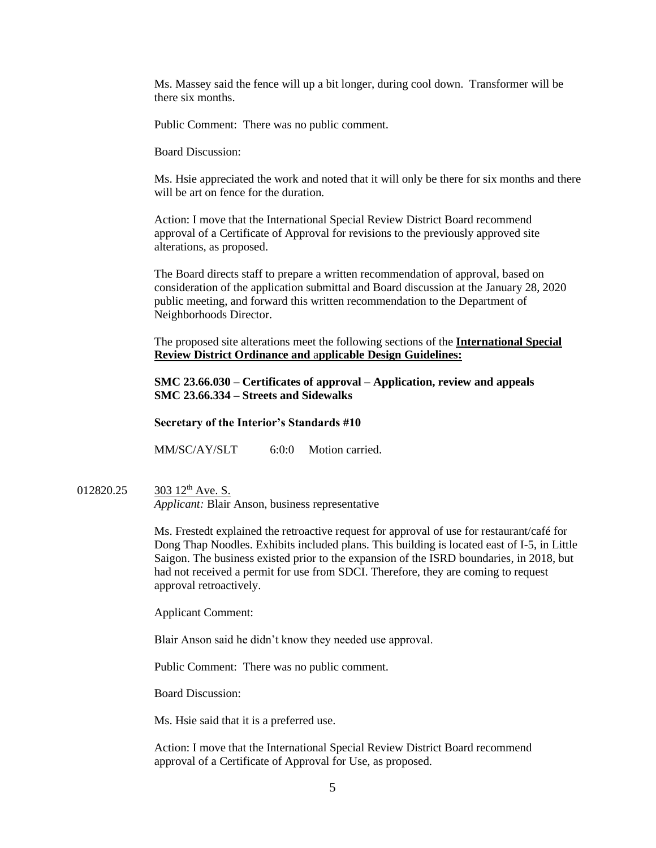Ms. Massey said the fence will up a bit longer, during cool down. Transformer will be there six months.

Public Comment: There was no public comment.

Board Discussion:

Ms. Hsie appreciated the work and noted that it will only be there for six months and there will be art on fence for the duration.

Action: I move that the International Special Review District Board recommend approval of a Certificate of Approval for revisions to the previously approved site alterations, as proposed.

The Board directs staff to prepare a written recommendation of approval, based on consideration of the application submittal and Board discussion at the January 28, 2020 public meeting, and forward this written recommendation to the Department of Neighborhoods Director.

The proposed site alterations meet the following sections of the **International Special Review District Ordinance and** a**pplicable Design Guidelines:**

**SMC 23.66.030 – Certificates of approval – Application, review and appeals SMC 23.66.334 – Streets and Sidewalks**

**Secretary of the Interior's Standards #10**

MM/SC/AY/SLT 6:0:0 Motion carried.

012820.25 303 12<sup>th</sup> Ave. S. *Applicant:* Blair Anson, business representative

> Ms. Frestedt explained the retroactive request for approval of use for restaurant/café for Dong Thap Noodles. Exhibits included plans. This building is located east of I-5, in Little Saigon. The business existed prior to the expansion of the ISRD boundaries, in 2018, but had not received a permit for use from SDCI. Therefore, they are coming to request approval retroactively.

Applicant Comment:

Blair Anson said he didn't know they needed use approval.

Public Comment: There was no public comment.

Board Discussion:

Ms. Hsie said that it is a preferred use.

Action: I move that the International Special Review District Board recommend approval of a Certificate of Approval for Use, as proposed.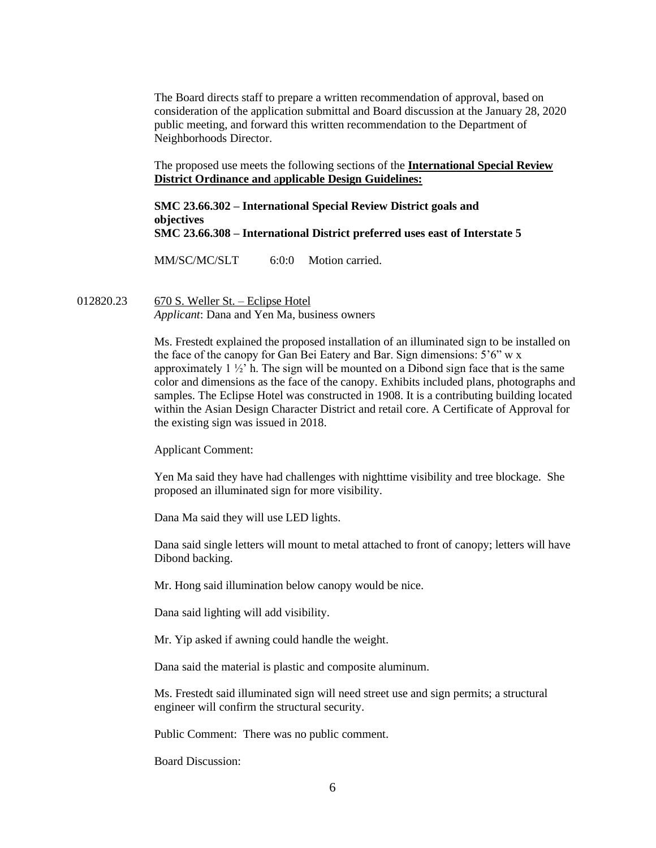The Board directs staff to prepare a written recommendation of approval, based on consideration of the application submittal and Board discussion at the January 28, 2020 public meeting, and forward this written recommendation to the Department of Neighborhoods Director.

The proposed use meets the following sections of the **International Special Review District Ordinance and** a**pplicable Design Guidelines:**

## **SMC 23.66.302 – International Special Review District goals and objectives SMC 23.66.308 – International District preferred uses east of Interstate 5**

MM/SC/MC/SLT 6:0:0 Motion carried.

012820.23 670 S. Weller St. – Eclipse Hotel *Applicant*: Dana and Yen Ma, business owners

> Ms. Frestedt explained the proposed installation of an illuminated sign to be installed on the face of the canopy for Gan Bei Eatery and Bar. Sign dimensions: 5'6" w x approximately  $1 \frac{1}{2}$  h. The sign will be mounted on a Dibond sign face that is the same color and dimensions as the face of the canopy. Exhibits included plans, photographs and samples. The Eclipse Hotel was constructed in 1908. It is a contributing building located within the Asian Design Character District and retail core. A Certificate of Approval for the existing sign was issued in 2018.

Applicant Comment:

Yen Ma said they have had challenges with nighttime visibility and tree blockage. She proposed an illuminated sign for more visibility.

Dana Ma said they will use LED lights.

Dana said single letters will mount to metal attached to front of canopy; letters will have Dibond backing.

Mr. Hong said illumination below canopy would be nice.

Dana said lighting will add visibility.

Mr. Yip asked if awning could handle the weight.

Dana said the material is plastic and composite aluminum.

Ms. Frestedt said illuminated sign will need street use and sign permits; a structural engineer will confirm the structural security.

Public Comment: There was no public comment.

Board Discussion: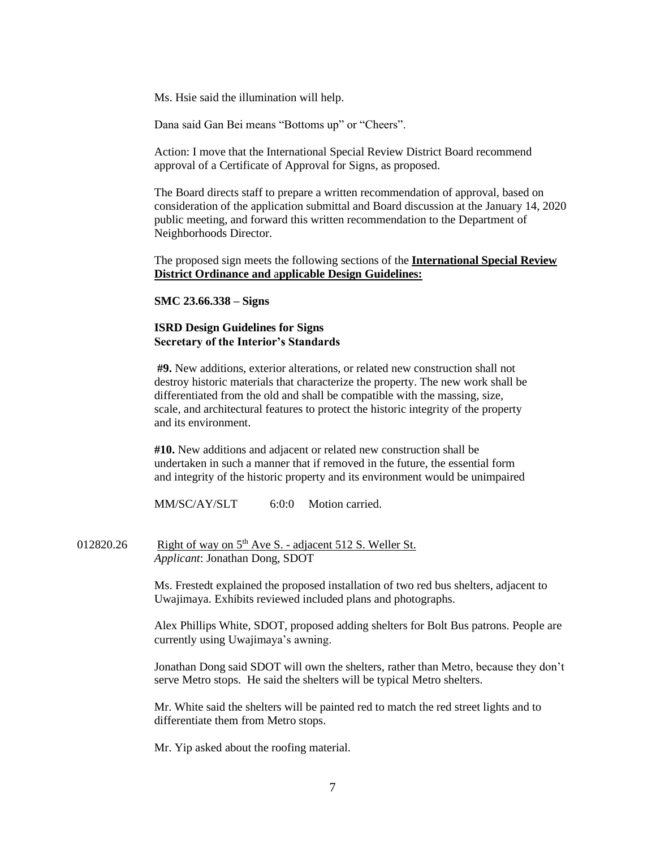Ms. Hsie said the illumination will help.

Dana said Gan Bei means "Bottoms up" or "Cheers".

Action: I move that the International Special Review District Board recommend approval of a Certificate of Approval for Signs, as proposed.

The Board directs staff to prepare a written recommendation of approval, based on consideration of the application submittal and Board discussion at the January 14, 2020 public meeting, and forward this written recommendation to the Department of Neighborhoods Director.

The proposed sign meets the following sections of the **International Special Review District Ordinance and** a**pplicable Design Guidelines:**

**SMC 23.66.338 – Signs**

# **ISRD Design Guidelines for Signs Secretary of the Interior's Standards**

**#9.** New additions, exterior alterations, or related new construction shall not destroy historic materials that characterize the property. The new work shall be differentiated from the old and shall be compatible with the massing, size, scale, and architectural features to protect the historic integrity of the property and its environment.

**#10.** New additions and adjacent or related new construction shall be undertaken in such a manner that if removed in the future, the essential form and integrity of the historic property and its environment would be unimpaired

MM/SC/AY/SLT 6:0:0 Motion carried.

012820.26 Right of way on 5<sup>th</sup> Ave S. - adjacent 512 S. Weller St. *Applicant*: Jonathan Dong, SDOT

> Ms. Frestedt explained the proposed installation of two red bus shelters, adjacent to Uwajimaya. Exhibits reviewed included plans and photographs.

Alex Phillips White, SDOT, proposed adding shelters for Bolt Bus patrons. People are currently using Uwajimaya's awning.

Jonathan Dong said SDOT will own the shelters, rather than Metro, because they don't serve Metro stops. He said the shelters will be typical Metro shelters.

Mr. White said the shelters will be painted red to match the red street lights and to differentiate them from Metro stops.

Mr. Yip asked about the roofing material.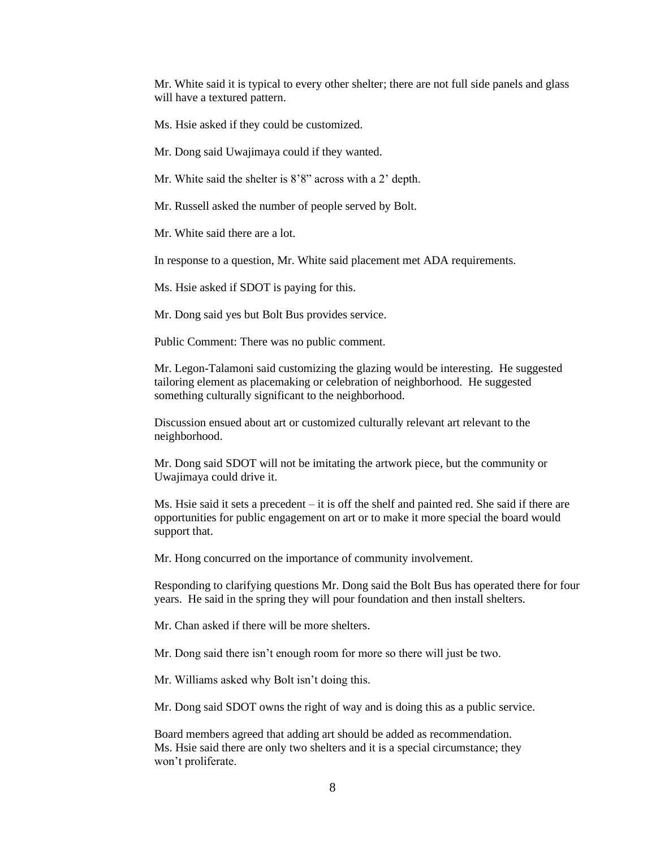Mr. White said it is typical to every other shelter; there are not full side panels and glass will have a textured pattern.

Ms. Hsie asked if they could be customized.

Mr. Dong said Uwajimaya could if they wanted.

Mr. White said the shelter is 8'8" across with a 2' depth.

Mr. Russell asked the number of people served by Bolt.

Mr. White said there are a lot.

In response to a question, Mr. White said placement met ADA requirements.

Ms. Hsie asked if SDOT is paying for this.

Mr. Dong said yes but Bolt Bus provides service.

Public Comment: There was no public comment.

Mr. Legon-Talamoni said customizing the glazing would be interesting. He suggested tailoring element as placemaking or celebration of neighborhood. He suggested something culturally significant to the neighborhood.

Discussion ensued about art or customized culturally relevant art relevant to the neighborhood.

Mr. Dong said SDOT will not be imitating the artwork piece, but the community or Uwajimaya could drive it.

Ms. Hsie said it sets a precedent – it is off the shelf and painted red. She said if there are opportunities for public engagement on art or to make it more special the board would support that.

Mr. Hong concurred on the importance of community involvement.

Responding to clarifying questions Mr. Dong said the Bolt Bus has operated there for four years. He said in the spring they will pour foundation and then install shelters.

Mr. Chan asked if there will be more shelters.

Mr. Dong said there isn't enough room for more so there will just be two.

Mr. Williams asked why Bolt isn't doing this.

Mr. Dong said SDOT owns the right of way and is doing this as a public service.

Board members agreed that adding art should be added as recommendation. Ms. Hsie said there are only two shelters and it is a special circumstance; they won't proliferate.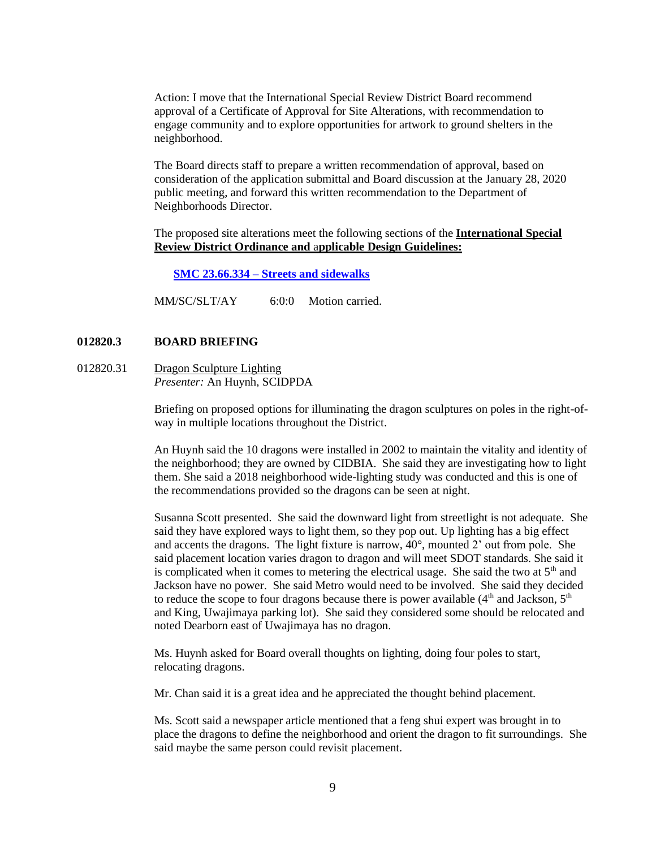Action: I move that the International Special Review District Board recommend approval of a Certificate of Approval for Site Alterations, with recommendation to engage community and to explore opportunities for artwork to ground shelters in the neighborhood.

The Board directs staff to prepare a written recommendation of approval, based on consideration of the application submittal and Board discussion at the January 28, 2020 public meeting, and forward this written recommendation to the Department of Neighborhoods Director.

The proposed site alterations meet the following sections of the **International Special Review District Ordinance and** a**pplicable Design Guidelines:**

**SMC 23.66.334 – [Streets and sidewalks](https://library.municode.com/wa/seattle/codes/municipal_code?nodeId=TIT23LAUSCO_SUBTITLE_IIILAUSRE_CH23.66SPREDI_SUBCHAPTER_IIIINSPREDI_23.66.334STSI)**

MM/SC/SLT/AY 6:0:0 Motion carried.

# **012820.3 BOARD BRIEFING**

012820.31 Dragon Sculpture Lighting *Presenter:* An Huynh, SCIDPDA

> Briefing on proposed options for illuminating the dragon sculptures on poles in the right-ofway in multiple locations throughout the District.

> An Huynh said the 10 dragons were installed in 2002 to maintain the vitality and identity of the neighborhood; they are owned by CIDBIA. She said they are investigating how to light them. She said a 2018 neighborhood wide-lighting study was conducted and this is one of the recommendations provided so the dragons can be seen at night.

> Susanna Scott presented. She said the downward light from streetlight is not adequate. She said they have explored ways to light them, so they pop out. Up lighting has a big effect and accents the dragons. The light fixture is narrow,  $40^{\circ}$ , mounted 2' out from pole. She said placement location varies dragon to dragon and will meet SDOT standards. She said it is complicated when it comes to metering the electrical usage. She said the two at  $5<sup>th</sup>$  and Jackson have no power. She said Metro would need to be involved. She said they decided to reduce the scope to four dragons because there is power available  $(4<sup>th</sup>$  and Jackson,  $5<sup>th</sup>$ and King, Uwajimaya parking lot). She said they considered some should be relocated and noted Dearborn east of Uwajimaya has no dragon.

Ms. Huynh asked for Board overall thoughts on lighting, doing four poles to start, relocating dragons.

Mr. Chan said it is a great idea and he appreciated the thought behind placement.

Ms. Scott said a newspaper article mentioned that a feng shui expert was brought in to place the dragons to define the neighborhood and orient the dragon to fit surroundings. She said maybe the same person could revisit placement.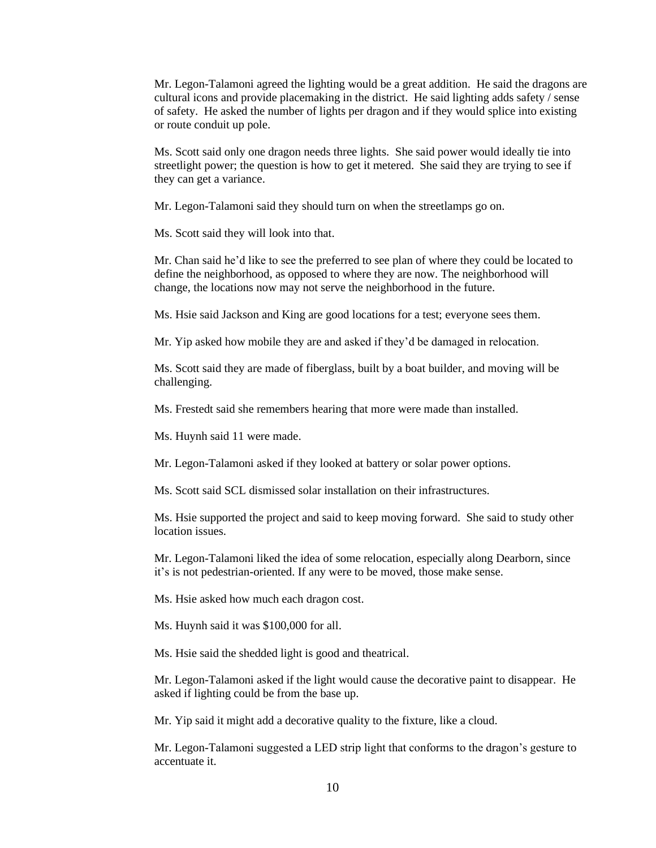Mr. Legon-Talamoni agreed the lighting would be a great addition. He said the dragons are cultural icons and provide placemaking in the district. He said lighting adds safety / sense of safety. He asked the number of lights per dragon and if they would splice into existing or route conduit up pole.

Ms. Scott said only one dragon needs three lights. She said power would ideally tie into streetlight power; the question is how to get it metered. She said they are trying to see if they can get a variance.

Mr. Legon-Talamoni said they should turn on when the streetlamps go on.

Ms. Scott said they will look into that.

Mr. Chan said he'd like to see the preferred to see plan of where they could be located to define the neighborhood, as opposed to where they are now. The neighborhood will change, the locations now may not serve the neighborhood in the future.

Ms. Hsie said Jackson and King are good locations for a test; everyone sees them.

Mr. Yip asked how mobile they are and asked if they'd be damaged in relocation.

Ms. Scott said they are made of fiberglass, built by a boat builder, and moving will be challenging.

Ms. Frestedt said she remembers hearing that more were made than installed.

Ms. Huynh said 11 were made.

Mr. Legon-Talamoni asked if they looked at battery or solar power options.

Ms. Scott said SCL dismissed solar installation on their infrastructures.

Ms. Hsie supported the project and said to keep moving forward. She said to study other location issues.

Mr. Legon-Talamoni liked the idea of some relocation, especially along Dearborn, since it's is not pedestrian-oriented. If any were to be moved, those make sense.

Ms. Hsie asked how much each dragon cost.

Ms. Huynh said it was \$100,000 for all.

Ms. Hsie said the shedded light is good and theatrical.

Mr. Legon-Talamoni asked if the light would cause the decorative paint to disappear. He asked if lighting could be from the base up.

Mr. Yip said it might add a decorative quality to the fixture, like a cloud.

Mr. Legon-Talamoni suggested a LED strip light that conforms to the dragon's gesture to accentuate it.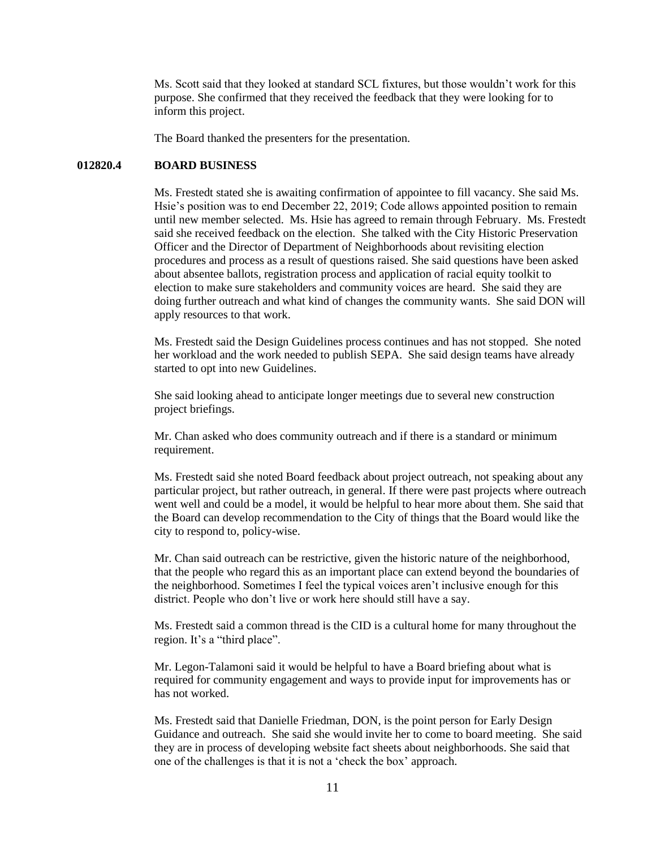Ms. Scott said that they looked at standard SCL fixtures, but those wouldn't work for this purpose. She confirmed that they received the feedback that they were looking for to inform this project.

The Board thanked the presenters for the presentation.

# **012820.4 BOARD BUSINESS**

Ms. Frestedt stated she is awaiting confirmation of appointee to fill vacancy. She said Ms. Hsie's position was to end December 22, 2019; Code allows appointed position to remain until new member selected. Ms. Hsie has agreed to remain through February. Ms. Frestedt said she received feedback on the election. She talked with the City Historic Preservation Officer and the Director of Department of Neighborhoods about revisiting election procedures and process as a result of questions raised. She said questions have been asked about absentee ballots, registration process and application of racial equity toolkit to election to make sure stakeholders and community voices are heard. She said they are doing further outreach and what kind of changes the community wants. She said DON will apply resources to that work.

Ms. Frestedt said the Design Guidelines process continues and has not stopped. She noted her workload and the work needed to publish SEPA. She said design teams have already started to opt into new Guidelines.

She said looking ahead to anticipate longer meetings due to several new construction project briefings.

Mr. Chan asked who does community outreach and if there is a standard or minimum requirement.

Ms. Frestedt said she noted Board feedback about project outreach, not speaking about any particular project, but rather outreach, in general. If there were past projects where outreach went well and could be a model, it would be helpful to hear more about them. She said that the Board can develop recommendation to the City of things that the Board would like the city to respond to, policy-wise.

Mr. Chan said outreach can be restrictive, given the historic nature of the neighborhood, that the people who regard this as an important place can extend beyond the boundaries of the neighborhood. Sometimes I feel the typical voices aren't inclusive enough for this district. People who don't live or work here should still have a say.

Ms. Frestedt said a common thread is the CID is a cultural home for many throughout the region. It's a "third place".

Mr. Legon-Talamoni said it would be helpful to have a Board briefing about what is required for community engagement and ways to provide input for improvements has or has not worked.

Ms. Frestedt said that Danielle Friedman, DON, is the point person for Early Design Guidance and outreach. She said she would invite her to come to board meeting. She said they are in process of developing website fact sheets about neighborhoods. She said that one of the challenges is that it is not a 'check the box' approach.